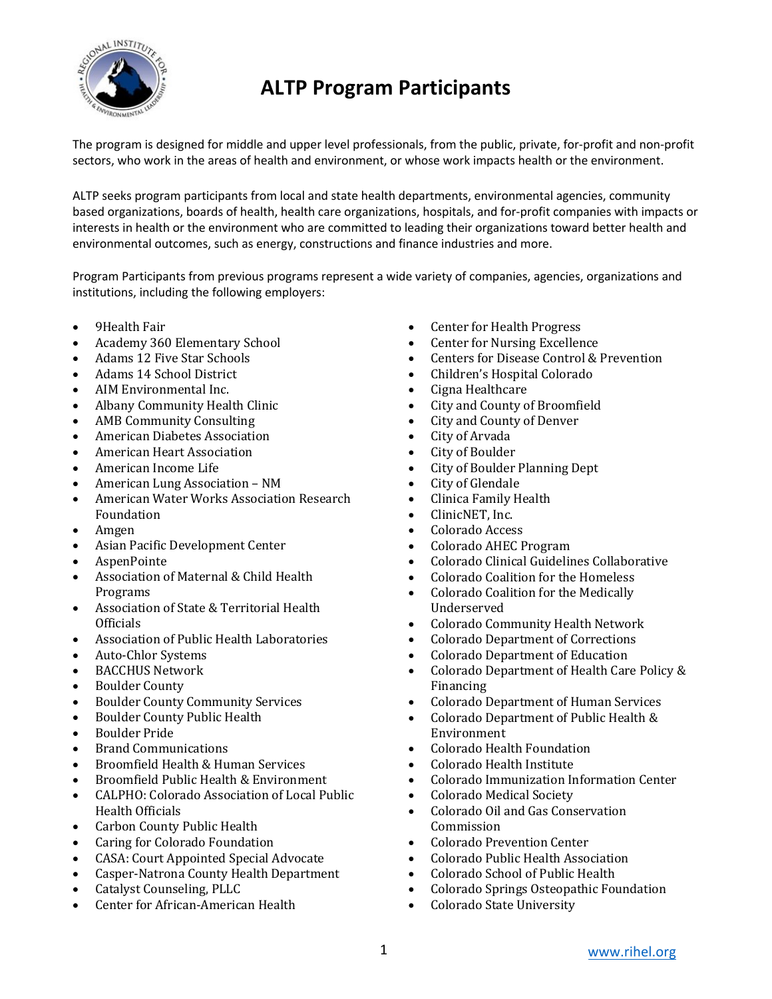

The program is designed for middle and upper level professionals, from the public, private, for-profit and non-profit sectors, who work in the areas of health and environment, or whose work impacts health or the environment.

ALTP seeks program participants from local and state health departments, environmental agencies, community based organizations, boards of health, health care organizations, hospitals, and for-profit companies with impacts or interests in health or the environment who are committed to leading their organizations toward better health and environmental outcomes, such as energy, constructions and finance industries and more.

Program Participants from previous programs represent a wide variety of companies, agencies, organizations and institutions, including the following employers:

- 9Health Fair
- Academy 360 Elementary School
- Adams 12 Five Star Schools
- Adams 14 School District
- AIM Environmental Inc.
- Albany Community Health Clinic
- AMB Community Consulting
- American Diabetes Association
- American Heart Association
- American Income Life
- American Lung Association NM
- American Water Works Association Research Foundation
- Amgen
- Asian Pacific Development Center
- AspenPointe
- Association of Maternal & Child Health Programs
- Association of State & Territorial Health **Officials**
- Association of Public Health Laboratories
- Auto-Chlor Systems
- BACCHUS Network
- Boulder County
- **Boulder County Community Services**
- Boulder County Public Health
- Boulder Pride
- Brand Communications
- Broomfield Health & Human Services
- Broomfield Public Health & Environment
- CALPHO: Colorado Association of Local Public Health Officials
- Carbon County Public Health
- Caring for Colorado Foundation
- CASA: Court Appointed Special Advocate
- Casper-Natrona County Health Department
- **Catalyst Counseling, PLLC**
- Center for African-American Health
- Center for Health Progress
- **Center for Nursing Excellence**
- Centers for Disease Control & Prevention
- Children's Hospital Colorado
- Cigna Healthcare
- City and County of Broomfield
- City and County of Denver
- City of Arvada
- City of Boulder
- City of Boulder Planning Dept
- City of Glendale
- Clinica Family Health
- ClinicNET, Inc.
- Colorado Access
- Colorado AHEC Program
- Colorado Clinical Guidelines Collaborative
- Colorado Coalition for the Homeless
- Colorado Coalition for the Medically Underserved
- Colorado Community Health Network
- Colorado Department of Corrections
- Colorado Department of Education
- Colorado Department of Health Care Policy & Financing
- Colorado Department of Human Services
- Colorado Department of Public Health & Environment
- Colorado Health Foundation
- Colorado Health Institute
- Colorado Immunization Information Center
- Colorado Medical Society
- Colorado Oil and Gas Conservation Commission
- Colorado Prevention Center
- Colorado Public Health Association
- Colorado School of Public Health
- Colorado Springs Osteopathic Foundation
- Colorado State University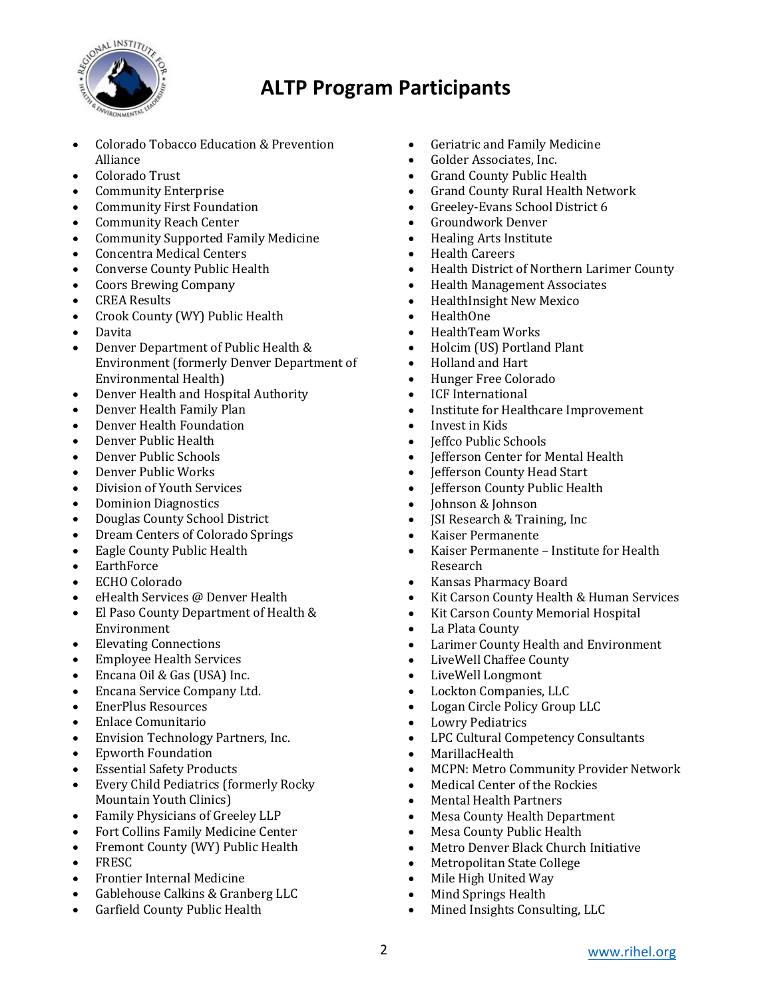

- Colorado Tobacco Education & Prevention Alliance
- Colorado Trust
- Community Enterprise
- Community First Foundation
- Community Reach Center
- Community Supported Family Medicine
- Concentra Medical Centers
- Converse County Public Health
- Coors Brewing Company
- CREA Results
- Crook County (WY) Public Health
- Davita
- Denver Department of Public Health & Environment (formerly Denver Department of Environmental Health)
- Denver Health and Hospital Authority
- Denver Health Family Plan
- Denver Health Foundation
- Denver Public Health
- Denver Public Schools
- Denver Public Works
- Division of Youth Services
- Dominion Diagnostics
- Douglas County School District
- Dream Centers of Colorado Springs
- Eagle County Public Health
- EarthForce
- ECHO Colorado
- eHealth Services @ Denver Health
- El Paso County Department of Health & Environment
- Elevating Connections
- Employee Health Services
- Encana Oil & Gas (USA) Inc.
- Encana Service Company Ltd.
- EnerPlus Resources
- Enlace Comunitario
- Envision Technology Partners, Inc.
- Epworth Foundation
- **Essential Safety Products**
- Every Child Pediatrics (formerly Rocky Mountain Youth Clinics)
- Family Physicians of Greeley LLP
- Fort Collins Family Medicine Center
- Fremont County (WY) Public Health
- FRESC
- Frontier Internal Medicine
- Gablehouse Calkins & Granberg LLC
- Garfield County Public Health
- Geriatric and Family Medicine
- Golder Associates, Inc.
- Grand County Public Health
- Grand County Rural Health Network
- Greeley-Evans School District 6
- Groundwork Denver
- Healing Arts Institute
- Health Careers
- Health District of Northern Larimer County
- Health Management Associates
- HealthInsight New Mexico
- HealthOne
- HealthTeam Works
- Holcim (US) Portland Plant
- Holland and Hart
- Hunger Free Colorado
- ICF International
- Institute for Healthcare Improvement
- Invest in Kids
- **Jeffco Public Schools**
- **Jefferson Center for Mental Health**
- Jefferson County Head Start
- Jefferson County Public Health
- Johnson & Johnson
- **JSI Research & Training, Inc**
- Kaiser Permanente
- Kaiser Permanente Institute for Health Research
- Kansas Pharmacy Board
- Kit Carson County Health & Human Services
- Kit Carson County Memorial Hospital
- La Plata County
- Larimer County Health and Environment
- LiveWell Chaffee County
- LiveWell Longmont
- Lockton Companies, LLC
- Logan Circle Policy Group LLC
- **Lowry Pediatrics**
- LPC Cultural Competency Consultants
- MarillacHealth
- MCPN: Metro Community Provider Network
- Medical Center of the Rockies
- Mental Health Partners
- Mesa County Health Department
- Mesa County Public Health
- Metro Denver Black Church Initiative
- Metropolitan State College
- Mile High United Way
- Mind Springs Health
- Mined Insights Consulting, LLC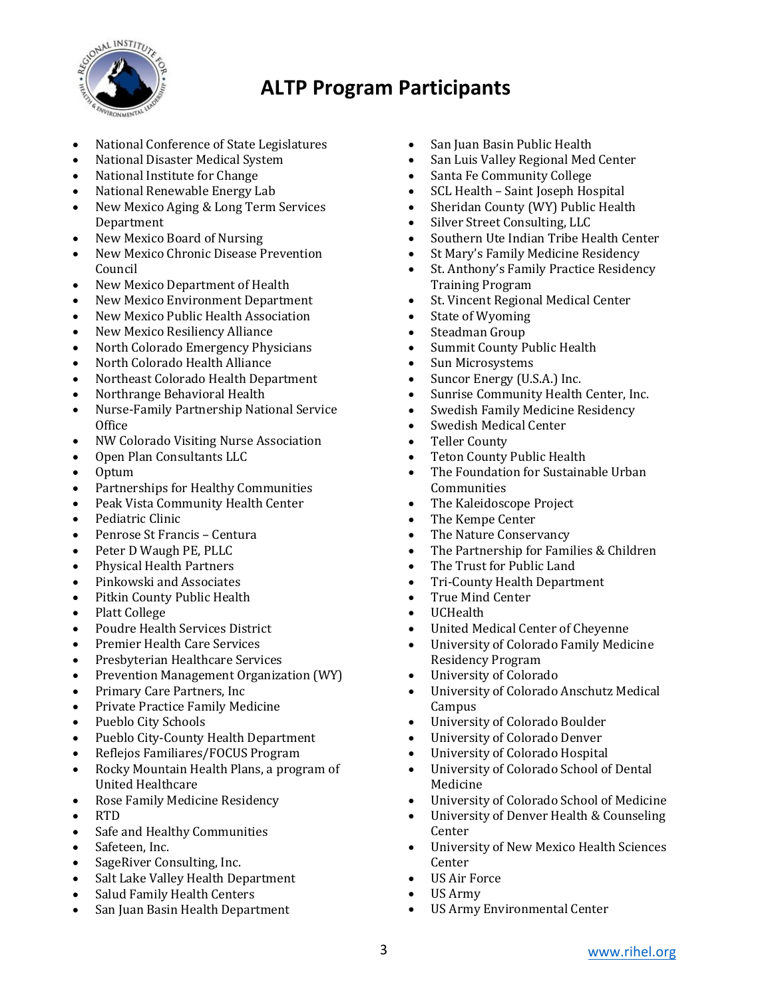

- National Conference of State Legislatures
- National Disaster Medical System
- National Institute for Change
- National Renewable Energy Lab
- New Mexico Aging & Long Term Services Department
- New Mexico Board of Nursing
- New Mexico Chronic Disease Prevention Council
- New Mexico Department of Health
- New Mexico Environment Department
- New Mexico Public Health Association
- New Mexico Resiliency Alliance
- North Colorado Emergency Physicians
- North Colorado Health Alliance
- Northeast Colorado Health Department
- Northrange Behavioral Health
- Nurse-Family Partnership National Service **Office**
- NW Colorado Visiting Nurse Association
- Open Plan Consultants LLC
- Optum
- Partnerships for Healthy Communities
- Peak Vista Community Health Center
- Pediatric Clinic
- Penrose St Francis Centura
- Peter D Waugh PE, PLLC
- Physical Health Partners
- Pinkowski and Associates
- Pitkin County Public Health
- Platt College
- Poudre Health Services District
- Premier Health Care Services
- Presbyterian Healthcare Services
- Prevention Management Organization (WY)
- Primary Care Partners, Inc
- Private Practice Family Medicine
- Pueblo City Schools
- Pueblo City-County Health Department
- Reflejos Familiares/FOCUS Program
- Rocky Mountain Health Plans, a program of United Healthcare
- Rose Family Medicine Residency
- RTD
- Safe and Healthy Communities
- Safeteen, Inc.
- SageRiver Consulting, Inc.
- Salt Lake Valley Health Department
- Salud Family Health Centers
- San Juan Basin Health Department
- San Juan Basin Public Health
- San Luis Valley Regional Med Center
- Santa Fe Community College
- SCL Health Saint Joseph Hospital
- Sheridan County (WY) Public Health
- Silver Street Consulting, LLC
- Southern Ute Indian Tribe Health Center
- St Mary's Family Medicine Residency
- St. Anthony's Family Practice Residency Training Program
- St. Vincent Regional Medical Center
- State of Wyoming
- Steadman Group
- Summit County Public Health
- Sun Microsystems
- Suncor Energy (U.S.A.) Inc.
- Sunrise Community Health Center, Inc.
- Swedish Family Medicine Residency
- Swedish Medical Center
- Teller County
- Teton County Public Health
- The Foundation for Sustainable Urban **Communities**
- The Kaleidoscope Project
- The Kempe Center
- The Nature Conservancy
- The Partnership for Families & Children
- The Trust for Public Land
- Tri-County Health Department
- True Mind Center
- UCHealth
- United Medical Center of Cheyenne
- University of Colorado Family Medicine Residency Program
- University of Colorado
- University of Colorado Anschutz Medical **Campus**
- University of Colorado Boulder
- University of Colorado Denver
- University of Colorado Hospital
- University of Colorado School of Dental Medicine
- University of Colorado School of Medicine
- University of Denver Health & Counseling Center
- University of New Mexico Health Sciences Center
- US Air Force
- US Army
- US Army Environmental Center